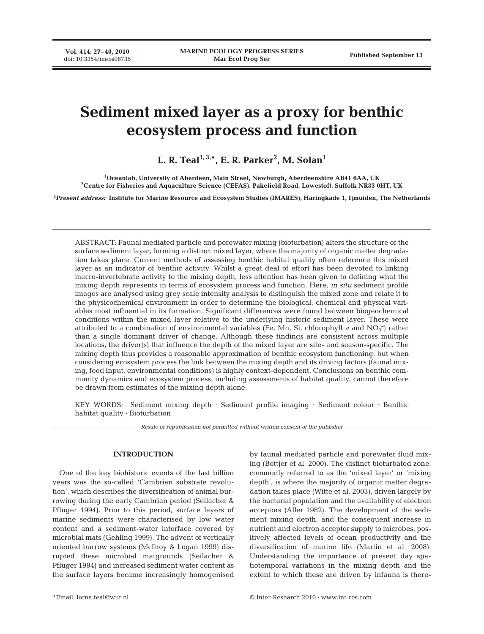# **Sediment mixed layer as a proxy for benthic ecosystem process and function**

**L. R. Teal1, 3,\*, E. R. Parker2 , M. Solan1**

**1 Oceanlab, University of Aberdeen, Main Street, Newburgh, Aberdeenshire AB41 6AA, UK 2 Centre for Fisheries and Aquaculture Science (CEFAS), Pakefield Road, Lowestoft, Suffolk NR33 0HT, UK**

**3** *Present address:* **Institute for Marine Resource and Ecosystem Studies (IMARES), Haringkade 1, Ijmuiden, The Netherlands**

ABSTRACT: Faunal mediated particle and porewater mixing (bioturbation) alters the structure of the surface sediment layer, forming a distinct mixed layer, where the majority of organic matter degradation takes place. Current methods of assessing benthic habitat quality often reference this mixed layer as an indicator of benthic activity. Whilst a great deal of effort has been devoted to linking macro-invertebrate activity to the mixing depth, less attention has been given to defining what the mixing depth represents in terms of ecosystem process and function. Here, *in situ* sediment profile images are analysed using grey scale intensity analysis to distinguish the mixed zone and relate it to the physicochemical environment in order to determine the biological, chemical and physical variables most influential in its formation. Significant differences were found between biogeochemical conditions within the mixed layer relative to the underlying historic sediment layer. These were attributed to a combination of environmental variables (Fe, Mn, Si, chlorophyll *a* and NO<sub>3</sub><sup>-</sup>) rather than a single dominant driver of change. Although these findings are consistent across multiple locations, the driver(s) that influence the depth of the mixed layer are site- and season-specific. The mixing depth thus provides a reasonable approximation of benthic ecosystem functioning, but when considering ecosystem process the link between the mixing depth and its driving factors (faunal mixing, food input, environmental conditions) is highly context-dependent. Conclusions on benthic community dynamics and ecosystem process, including assessments of habitat quality, cannot therefore be drawn from estimates of the mixing depth alone.

KEY WORDS: Sediment mixing depth · Sediment profile imaging · Sediment colour · Benthic habitat quality  $\cdot$  Bioturbation

*Resale or republication not permitted without written consent of the publisher*

## **INTRODUCTION**

One of the key biohistoric events of the last billion years was the so-called 'Cambrian substrate revolution', which describes the diversification of animal burrowing during the early Cambrian period (Seilacher & Pflüger 1994). Prior to this period, surface layers of marine sediments were characterised by low water content and a sediment-water interface covered by microbial mats (Gehling 1999). The advent of vertically oriented burrow systems (McIlroy & Logan 1999) disrupted these microbial matgrounds (Seilacher & Pflüger 1994) and increased sediment water content as the surface layers became increasingly homogenised by faunal mediated particle and porewater fluid mixing (Bottjer et al. 2000). The distinct bioturbated zone, commonly referred to as the 'mixed layer' or 'mixing depth', is where the majority of organic matter degradation takes place (Witte et al. 2003), driven largely by the bacterial population and the availability of electron acceptors (Aller 1982). The development of the sediment mixing depth, and the consequent increase in nutrient and electron acceptor supply to microbes, positively affected levels of ocean productivity and the diversification of marine life (Martin et al. 2008). Understanding the importance of present day spatiotemporal variations in the mixing depth and the extent to which these are driven by infauna is there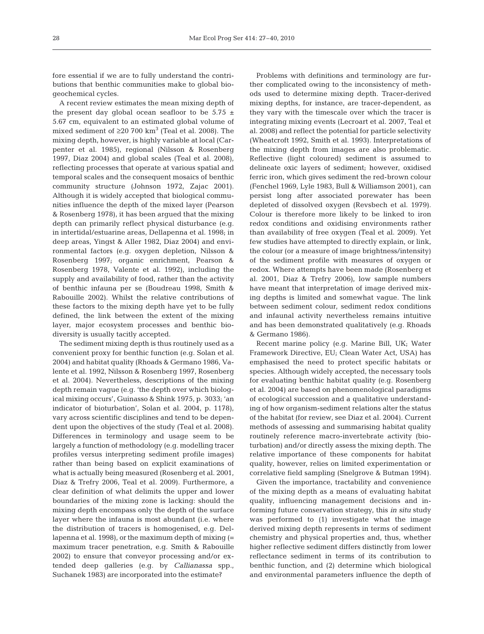fore essential if we are to fully understand the contributions that benthic communities make to global biogeochemical cycles.

A recent review estimates the mean mixing depth of the present day global ocean seafloor to be  $5.75 \pm$ 5.67 cm, equivalent to an estimated global volume of mixed sediment of  $\geq 20$  700 km<sup>3</sup> (Teal et al. 2008). The mixing depth, however, is highly variable at local (Carpenter et al. 1985), regional (Nilsson & Rosenberg 1997, Diaz 2004) and global scales (Teal et al. 2008), reflecting processes that operate at various spatial and temporal scales and the consequent mosaics of benthic community structure (Johnson 1972, Zajac 2001). Although it is widely accepted that biological communities influence the depth of the mixed layer (Pearson & Rosenberg 1978), it has been argued that the mixing depth can primarily reflect physical disturbance (e.g. in intertidal/estuarine areas, Dellapenna et al. 1998; in deep areas, Yingst & Aller 1982, Diaz 2004) and environmental factors (e.g. oxygen depletion, Nilsson & Rosenberg 1997; organic enrichment, Pearson & Rosenberg 1978, Valente et al. 1992), including the supply and availability of food, rather than the activity of benthic infauna per se (Boudreau 1998, Smith & Rabouille 2002). Whilst the relative contributions of these factors to the mixing depth have yet to be fully defined, the link between the extent of the mixing layer, major ecosystem processes and benthic biodiversity is usually tacitly accepted.

The sediment mixing depth is thus routinely used as a convenient proxy for benthic function (e.g. Solan et al. 2004) and habitat quality (Rhoads & Germano 1986, Valente et al. 1992, Nilsson & Rosenberg 1997, Rosenberg et al. 2004). Nevertheless, descriptions of the mixing depth remain vague (e.g. 'the depth over which biological mixing occurs', Guinasso & Shink 1975, p. 3033; 'an indicator of bioturbation', Solan et al. 2004, p. 1178), vary across scientific disciplines and tend to be dependent upon the objectives of the study (Teal et al. 2008). Differences in terminology and usage seem to be largely a function of methodology (e.g. modelling tracer profiles versus interpreting sediment profile images) rather than being based on explicit examinations of what is actually being measured (Rosenberg et al. 2001, Diaz & Trefry 2006, Teal et al. 2009). Furthermore, a clear definition of what delimits the upper and lower boundaries of the mixing zone is lacking: should the mixing depth encompass only the depth of the surface layer where the infauna is most abundant (i.e. where the distribution of tracers is homogenised, e.g. Dellapenna et al. 1998), or the maximum depth of mixing (= maximum tracer penetration, e.g. Smith & Rabouille 2002) to ensure that conveyor processing and/or extended deep galleries (e.g. by *Callianassa* spp., Suchanek 1983) are incorporated into the estimate?

Problems with definitions and terminology are further complicated owing to the inconsistency of methods used to determine mixing depth. Tracer-derived mixing depths, for instance, are tracer-dependent, as they vary with the timescale over which the tracer is integrating mixing events (Lecroart et al. 2007, Teal et al. 2008) and reflect the potential for particle selectivity (Wheatcroft 1992, Smith et al. 1993). Interpretations of the mixing depth from images are also problematic. Reflective (light coloured) sediment is assumed to delineate oxic layers of sediment; however, oxidised ferric iron, which gives sediment the red-brown colour (Fenchel 1969, Lyle 1983, Bull & Williamson 2001), can persist long after associated porewater has been depleted of dissolved oxygen (Revsbech et al. 1979). Colour is therefore more likely to be linked to iron redox conditions and oxidising environments rather than availability of free oxygen (Teal et al. 2009). Yet few studies have attempted to directly explain, or link, the colour (or a measure of image brightness/intensity) of the sediment profile with measures of oxygen or redox. Where attempts have been made (Rosenberg et al. 2001, Diaz & Trefry 2006), low sample numbers have meant that interpretation of image derived mixing depths is limited and somewhat vague. The link between sediment colour, sediment redox conditions and infaunal activity nevertheless remains intuitive and has been demonstrated qualitatively (e.g. Rhoads & Germano 1986).

Recent marine policy (e.g. Marine Bill, UK; Water Framework Directive, EU; Clean Water Act, USA) has emphasised the need to protect specific habitats or species. Although widely accepted, the necessary tools for evaluating benthic habitat quality (e.g. Rosenberg et al. 2004) are based on phenomenological paradigms of ecological succession and a qualitative understanding of how organism-sediment relations alter the status of the habitat (for review, see Diaz et al. 2004). Current methods of assessing and summarising habitat quality routinely reference macro-invertebrate activity (bioturbation) and/or directly assess the mixing depth. The relative importance of these components for habitat quality, however, relies on limited experimentation or correlative field sampling (Snelgrove & Butman 1994).

Given the importance, tractability and convenience of the mixing depth as a means of evaluating habitat quality, influencing management decisions and informing future conservation strategy, this *in situ* study was performed to (1) investigate what the image derived mixing depth represents in terms of sediment chemistry and physical properties and, thus, whether higher reflective sediment differs distinctly from lower reflectance sediment in terms of its contribution to benthic function, and (2) determine which biological and environmental parameters influence the depth of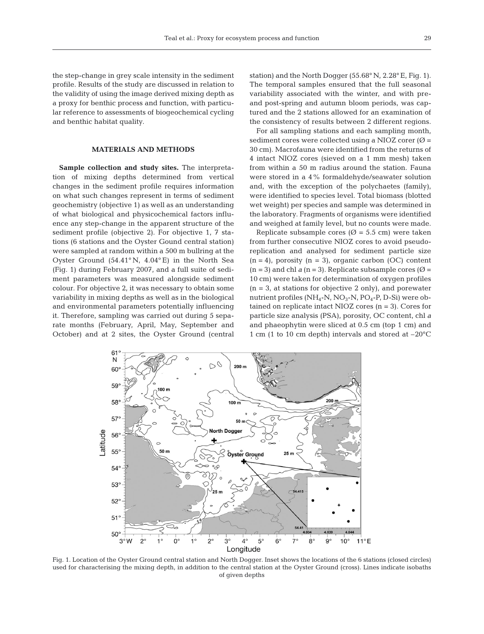the step-change in grey scale intensity in the sediment profile. Results of the study are discussed in relation to the validity of using the image derived mixing depth as a proxy for benthic process and function, with particular reference to assessments of biogeochemical cycling and benthic habitat quality.

## **MATERIALS AND METHODS**

**Sample collection and study sites.** The interpretation of mixing depths determined from vertical changes in the sediment profile requires information on what such changes represent in terms of sediment geochemistry (objective 1) as well as an understanding of what biological and physicochemical factors influence any step-change in the apparent structure of the sediment profile (objective 2). For objective 1, 7 stations (6 stations and the Oyster Gound central station) were sampled at random within a 500 m bullring at the Oyster Ground (54.41° N, 4.04° E) in the North Sea (Fig. 1) during February 2007, and a full suite of sediment parameters was measured alongside sediment colour. For objective 2, it was necessary to obtain some variability in mixing depths as well as in the biological and environmental parameters potentially influencing it. Therefore, sampling was carried out during 5 separate months (February, April, May, September and October) and at 2 sites, the Oyster Ground (central station) and the North Dogger (55.68° N, 2.28° E, Fig. 1). The temporal samples ensured that the full seasonal variability associated with the winter, and with preand post-spring and autumn bloom periods, was captured and the 2 stations allowed for an examination of the consistency of results between 2 different regions.

For all sampling stations and each sampling month, sediment cores were collected using a NIOZ corer  $(\emptyset =$ 30 cm). Macrofauna were identified from the returns of 4 intact NIOZ cores (sieved on a 1 mm mesh) taken from within a 50 m radius around the station. Fauna were stored in a 4% formaldehyde/seawater solution and, with the exception of the polychaetes (family), were identified to species level. Total biomass (blotted wet weight) per species and sample was determined in the laboratory. Fragments of organisms were identified and weighed at family level, but no counts were made.

Replicate subsample cores ( $\varnothing$  = 5.5 cm) were taken from further consecutive NIOZ cores to avoid pseudoreplication and analysed for sediment particle size  $(n = 4)$ , porosity  $(n = 3)$ , organic carbon (OC) content  $(n = 3)$  and chl *a*  $(n = 3)$ . Replicate subsample cores  $(\emptyset =$ 10 cm) were taken for determination of oxygen profiles  $(n = 3,$  at stations for objective 2 only), and porewater nutrient profiles (NH<sub>4</sub>-N, NO<sub>3</sub>-N, PO<sub>4</sub>-P, D-Si) were obtained on replicate intact NIOZ cores  $(n = 3)$ . Cores for particle size analysis (PSA), porosity, OC content, chl *a* and phaeophytin were sliced at 0.5 cm (top 1 cm) and 1 cm (1 to 10 cm depth) intervals and stored at –20°C



Fig. 1. Location of the Oyster Ground central station and North Dogger. Inset shows the locations of the 6 stations (closed circles) used for characterising the mixing depth, in addition to the central station at the Oyster Ground (cross). Lines indicate isobaths of given depths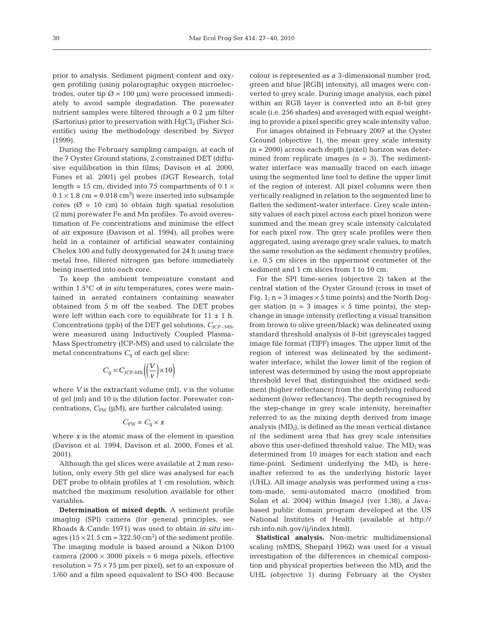prior to analysis. Sediment pigment content and oxygen profiling (using polarographic oxygen microelectrodes, outer tip  $\varnothing$  = 100 µm) were processed immediately to avoid sample degradation. The porewater nutrient samples were filtered through a 0.2 µm filter (Sartorius) prior to preservation with  $HqCl<sub>2</sub>$  (Fisher Scientific) using the methodology described by Sivyer (1999).

During the February sampling campaign, at each of the 7 Oyster Ground stations, 2 constrained DET (diffusive equilibration in thin films; Davison et al. 2000, Fones et al. 2001) gel probes (DGT Research, total length = 15 cm, divided into 75 compartments of  $0.1 \times$  $0.1 \times 1.8$  cm = 0.018 cm<sup>3</sup>) were inserted into subsample cores ( $\varnothing$  = 10 cm) to obtain high spatial resolution (2 mm) porewater Fe and Mn profiles. To avoid overestimation of Fe concentrations and minimise the effect of air exposure (Davison et al. 1994), all probes were held in a container of artificial seawater containing Chelex 100 and fully deoxygenated for 24 h using trace metal free, filtered nitrogen gas before immediately being inserted into each core.

To keep the ambient temperature constant and within 1.5°C of *in situ* temperatures, cores were maintained in aerated containers containing seawater obtained from 5 m off the seabed. The DET probes were left within each core to equilibrate for  $11 \pm 1$  h. Concentrations (ppb) of the DET gel solutions,  $C_{\text{ICP-MS}}$ were measured using Inductively Coupled Plasma-Mass Spectrometry (ICP-MS) and used to calculate the metal concentrations  $C_q$  of each gel slice:

$$
C_{\rm g} = C_{\rm ICP-MS} \left( \left( \frac{V}{v} \right) \times 10 \right)
$$

where *V* is the extractant volume (ml), *v* is the volume of gel (ml) and 10 is the dilution factor. Porewater concentrations,  $C_{PW}$  ( $\mu$ M), are further calculated using:

$$
C_{\mathrm{PW}}=C_{\mathrm{g}}\times x
$$

where *x* is the atomic mass of the element in question (Davison et al. 1994, Davison et al. 2000, Fones et al. 2001).

Although the gel slices were available at 2 mm resolution, only every 5th gel slice was analysed for each DET probe to obtain profiles at 1 cm resolution, which matched the maximum resolution available for other variables.

**Determination of mixed depth.** A sediment profile imaging (SPI) camera (for general principles, see Rhoads & Cande 1971) was used to obtain *in situ* images  $(15 \times 21.5 \text{ cm} = 322.50 \text{ cm}^2)$  of the sediment profile. The imaging module is based around a Nikon D100 camera  $(2000 \times 3000 \text{ pixels} = 6 \text{ mega pixels}$ , effective resolution =  $75 \times 75$  µm per pixel), set to an exposure of 1/60 and a film speed equivalent to ISO 400. Because colour is represented as a 3-dimensional number (red, green and blue [RGB] intensity), all images were converted to grey scale. During image analysis, each pixel within an RGB layer is converted into an 8-bit grey scale (i.e. 256 shades) and averaged with equal weighting to provide a pixel specific grey scale intensity value.

For images obtained in February 2007 at the Oyster Ground (objective 1), the mean grey scale intensity  $(n = 2000)$  across each depth (pixel) horizon was determined from replicate images  $(n = 3)$ . The sedimentwater interface was manually traced on each image using the segmented line tool to define the upper limit of the region of interest. All pixel columns were then vertically realigned in relation to the segmented line to flatten the sediment-water interface. Grey scale intensity values of each pixel across each pixel horizon were summed and the mean grey scale intensity calculated for each pixel row. The grey scale profiles were then aggregated, using average grey scale values, to match the same resolution as the sediment chemistry profiles, i.e. 0.5 cm slices in the uppermost centimeter of the sediment and 1 cm slices from 1 to 10 cm.

For the SPI time-series (objective 2) taken at the central station of the Oyster Ground (cross in inset of Fig. 1;  $n = 3$  images  $\times$  5 time points) and the North Dogger station ( $n = 3$  images  $\times$  5 time points), the stepchange in image intensity (reflecting a visual transition from brown to olive green/black) was delineated using standard threshold analysis of 8-bit (greyscale) tagged image file format (TIFF) images. The upper limit of the region of interest was delineated by the sedimentwater interface, whilst the lower limit of the region of interest was determined by using the most appropriate threshold level that distinguished the oxidised sediment (higher reflectance) from the underlying reduced sediment (lower reflectance). The depth recognised by the step-change in grey scale intensity, hereinafter referred to as the mixing depth derived from image analysis  $(MD<sub>I</sub>)$ , is defined as the mean vertical distance of the sediment area that has grey scale intensities above this user-defined threshold value. The  $MD<sub>I</sub>$  was determined from 10 images for each station and each time-point. Sediment underlying the  $MD<sub>I</sub>$  is hereinafter referred to as the underlying historic layer (UHL). All image analysis was performed using a custom-made, semi-automated macro (modified from Solan et al. 2004) within ImageJ (ver 1.38), a Javabased public domain program developed at the US National Institutes of Health (available at http:// rsb.info.nih.gov/ij/index.html).

**Statistical analysis.** Non-metric multidimensional scaling (nMDS, Shepard 1962) was used for a visual investigation of the differences in chemical composition and physical properties between the  $MD<sub>I</sub>$  and the UHL (objective 1) during February at the Oyster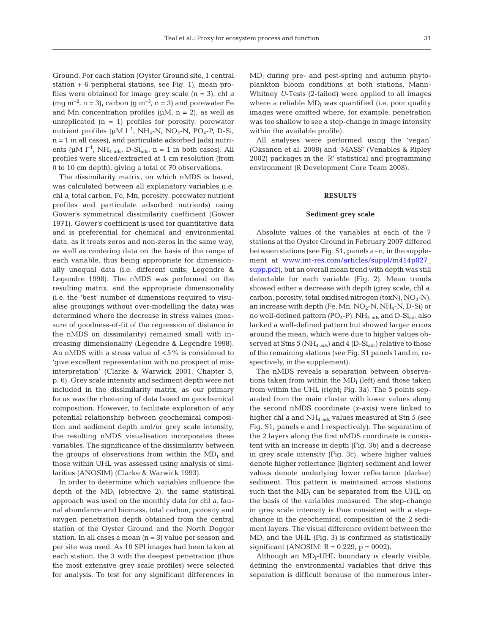Ground. For each station (Oyster Ground site, 1 central station + 6 peripheral stations, see Fig. 1), mean profiles were obtained for image grey scale (n = 3), chl *a* (mg  $m^{-2}$ , n = 3), carbon (g  $m^{-3}$ , n = 3) and porewater Fe and Mn concentration profiles  $(\mu M, n = 2)$ , as well as unreplicated  $(n = 1)$  profiles for porosity, porewater nutrient profiles ( $\mu$ M l<sup>-1</sup>, NH<sub>4</sub>-N, NO<sub>3</sub>-N, PO<sub>4</sub>-P, D-Si, n = 1 in all cases), and particulate adsorbed (ads) nutrients ( $\mu$ M l<sup>-1</sup>, NH<sub>4-ads</sub>, D-Si<sub>ads</sub>, n = 1 in both cases). All profiles were sliced/extracted at 1 cm resolution (from 0 to 10 cm depth), giving a total of 70 observations.

The dissimilarity matrix, on which nMDS is based, was calculated between all explanatory variables (i.e. chl *a*, total carbon, Fe, Mn, porosity, porewater nutrient profiles and particulate adsorbed nutrients) using Gower's symmetrical dissimilarity coefficient (Gower 1971). Gower's coefficient is used for quantitative data and is preferential for chemical and environmental data, as it treats zeros and non-zeros in the same way, as well as centering data on the basis of the range of each variable, thus being appropriate for dimensionally unequal data (i.e. different units, Legendre & Legendre 1998). The nMDS was performed on the resulting matrix, and the appropriate dimensionality (i.e. the 'best' number of dimensions required to visualise groupings without over-modelling the data) was determined where the decrease in stress values (measure of goodness-of-fit of the regression of distance in the nMDS on dissimilarity) remained small with increasing dimensionality (Legendre & Legendre 1998). An nMDS with a stress value of <5% is considered to 'give excellent representation with no prospect of misinterpretation' (Clarke & Warwick 2001, Chapter 5, p. 6). Grey scale intensity and sediment depth were not included in the dissimilarity matrix, as our primary focus was the clustering of data based on geochemical composition. However, to facilitate exploration of any potential relationship between geochemical composition and sediment depth and/or grey scale intensity, the resulting nMDS visualisation incorporates these variables. The significance of the dissimilarity between the groups of observations from within the  $MD<sub>I</sub>$  and those within UHL was assessed using analysis of similarities (ANOSIM) (Clarke & Warwick 1993).

In order to determine which variables influence the depth of the  $MD<sub>I</sub>$  (objective 2), the same statistical approach was used on the monthly data for chl *a*, faunal abundance and biomass, total carbon, porosity and oxygen penetration depth obtained from the central station of the Oyster Ground and the North Dogger station. In all cases a mean  $(n = 3)$  value per season and per site was used. As 10 SPI images had been taken at each station, the 3 with the deepest penetration (thus the most extensive grey scale profiles) were selected for analysis. To test for any significant differences in  $MD<sub>I</sub>$  during pre- and post-spring and autumn phytoplankton bloom conditions at both stations, Mann-Whitney *U*-Tests (2-tailed) were applied to all images where a reliable  $MD<sub>I</sub>$  was quantified (i.e. poor quality images were omitted where, for example, penetration was too shallow to see a step-change in image intensity within the available profile).

All analyses were performed using the 'vegan' (Oksanen et al. 2008) and 'MASS' (Venables & Ripley 2002) packages in the 'R' statistical and programming environment (R Development Core Team 2008).

#### **RESULTS**

### **Sediment grey scale**

Absolute values of the variables at each of the 7 stations at the Oyster Ground in February 2007 differed between stations (see Fig. S1, panels a–n, in the supplement at [www.int-res.com/articles/suppl/m414p027\\_](http://www.int-res.com/articles/suppl/m414p027_supp.pdf) [supp.pdf\),](http://www.int-res.com/articles/suppl/m414p027_supp.pdf) but an overall mean trend with depth was still detectable for each variable (Fig. 2). Mean trends showed either a decrease with depth (grey scale, chl *a*, carbon, porosity, total oxidised nitrogen (toxN),  $NO<sub>3</sub>-N$ ), an increase with depth (Fe, Mn,  $NO<sub>2</sub>$ -N, NH<sub>4</sub>-N, D-Si) or no well-defined pattern  $(PO_4-P)$ . NH<sub>4-ads</sub> and D-Si<sub>ads</sub> also lacked a well-defined pattern but showed larger errors around the mean, which were due to higher values observed at Stns 5 ( $NH_{4-ads}$ ) and 4 (D- $Si_{ads}$ ) relative to those of the remaining stations (see Fig. S1 panels l and m, respectively, in the supplement).

The nMDS reveals a separation between observations taken from within the  $MD<sub>I</sub>$  (left) and those taken from within the UHL (right; Fig. 3a). The 5 points separated from the main cluster with lower values along the second nMDS coordinate *(x*-axis) were linked to higher chl *a* and NH<sub>4-ads</sub> values measured at Stn 5 (see Fig. S1, panels e and l respectively). The separation of the 2 layers along the first nMDS coordinate is consistent with an increase in depth (Fig. 3b) and a decrease in grey scale intensity (Fig. 3c), where higher values denote higher reflectance (lighter) sediment and lower values denote underlying lower reflectance (darker) sediment. This pattern is maintained across stations such that the  $MD<sub>I</sub>$  can be separated from the UHL on the basis of the variables measured. The step-change in grey scale intensity is thus consistent with a stepchange in the geochemical composition of the 2 sediment layers. The visual difference evident between the  $MD<sub>I</sub>$  and the UHL (Fig. 3) is confirmed as statistically significant (ANOSIM:  $R = 0.229$ ,  $p = 0002$ ).

Although an  $MD_{I}$ -UHL boundary is clearly visible, defining the environmental variables that drive this separation is difficult because of the numerous inter-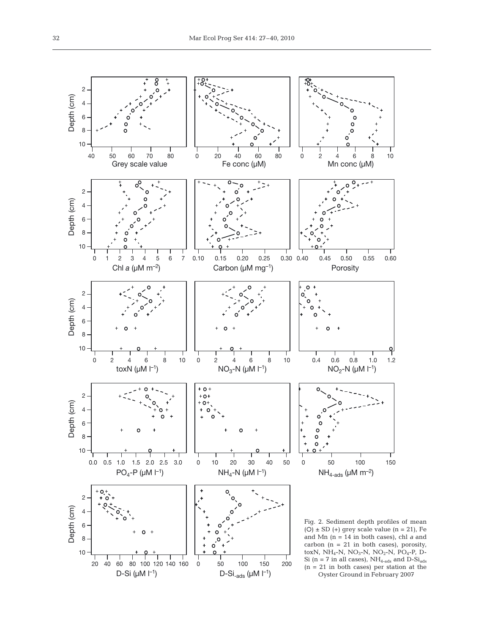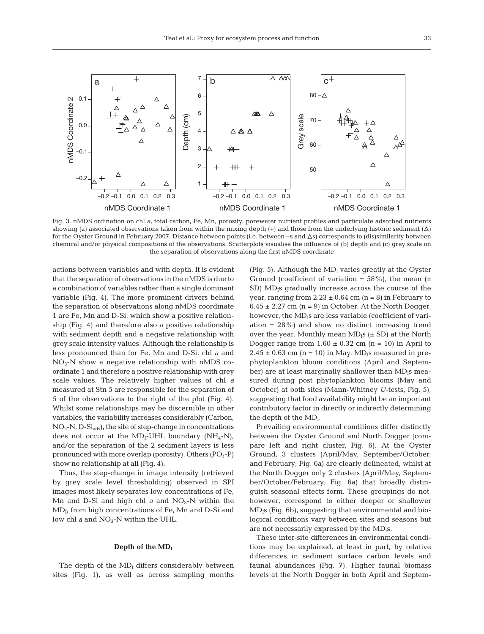



Fig. 3. nMDS ordination on chl *a*, total carbon, Fe, Mn, porosity, porewater nutrient profiles and particulate adsorbed nutrients showing (a) associated observations taken from within the mixing depth  $(+)$  and those from the underlying historic sediment  $(\Delta)$ for the Oyster Ground in February 2007. Distance between points (i.e. between +s and  $\Delta s$ ) corresponds to (dis)similarity between chemical and/or physical compositions of the observations. Scatterplots visualise the influence of (b) depth and (c) grey scale on the separation of observations along the first nMDS coordinate

actions between variables and with depth. It is evident that the separation of observations in the nMDS is due to a combination of variables rather than a single dominant variable (Fig. 4). The more prominent drivers behind the separation of observations along nMDS coordinate 1 are Fe, Mn and D-Si, which show a positive relationship (Fig. 4) and therefore also a positive relationship with sediment depth and a negative relationship with grey scale intensity values. Although the relationship is less pronounced than for Fe, Mn and D-Si, chl *a* and  $NO<sub>3</sub>$ -N show a negative relationship with nMDS coordinate 1 and therefore a positive relationship with grey scale values. The relatively higher values of chl *a* measured at Stn 5 are responsible for the separation of 5 of the observations to the right of the plot (Fig. 4). Whilst some relationships may be discernible in other variables, the variability increases considerably (Carbon,  $NO<sub>2</sub>-N, D-Si<sub>ads</sub>$ , the site of step-change in concentrations does not occur at the MD<sub>I</sub>-UHL boundary (NH<sub>4</sub>-N), and/or the separation of the 2 sediment layers is less pronounced with more overlap (porosity). Others  $(PO_4-P)$ show no relationship at all (Fig. 4).

Thus, the step-change in image intensity (retrieved by grey scale level thresholding) observed in SPI images most likely separates low concentrations of Fe, Mn and D-Si and high chl  $a$  and  $NO<sub>3</sub>$ -N within the  $MD_{I}$ , from high concentrations of Fe, Mn and D-Si and low chl  $a$  and  $NO_3$ -N within the UHL.

### Depth of the  $MD<sub>I</sub>$

The depth of the  $MD<sub>I</sub>$  differs considerably between sites (Fig. 1), as well as across sampling months (Fig. 5). Although the  $MD<sub>I</sub>$  varies greatly at the Oyster Ground (coefficient of variation =  $58\%$ ), the mean ( $\pm$  $SD$ ) MD<sub>1</sub>s gradually increase across the course of the year, ranging from  $2.23 \pm 0.64$  cm  $(n = 8)$  in February to  $6.45 \pm 2.27$  cm (n = 9) in October. At the North Dogger, however, the  $MD<sub>l</sub>$ s are less variable (coefficient of variation  $= 28\%$ ) and show no distinct increasing trend over the year. Monthly mean  $MD<sub>1</sub>s$  ( $\pm$  SD) at the North Dogger range from  $1.60 \pm 0.32$  cm (n = 10) in April to  $2.45 \pm 0.63$  cm (n = 10) in May. MD<sub>I</sub>s measured in prephytoplankton bloom conditions (April and September) are at least marginally shallower than MD<sub>I</sub>s measured during post phytoplankton blooms (May and October) at both sites (Mann-Whitney *U*-tests, Fig. 5), suggesting that food availability might be an important contributory factor in directly or indirectly determining the depth of the  $MD<sub>I</sub>$ .

Prevailing environmental conditions differ distinctly between the Oyster Ground and North Dogger (compare left and right cluster, Fig. 6). At the Oyster Ground, 3 clusters (April/May, September/October, and February; Fig. 6a) are clearly delineated, whilst at the North Dogger only 2 clusters (April/May, September/October/February; Fig. 6a) that broadly distinguish seasonal effects form. These groupings do not, however, correspond to either deeper or shallower  $MD<sub>1</sub>s$  (Fig. 6b), suggesting that environmental and biological conditions vary between sites and seasons but are not necessarily expressed by the  $MD<sub>1</sub>s$ .

These inter-site differences in environmental conditions may be explained, at least in part, by relative differences in sediment surface carbon levels and faunal abundances (Fig. 7). Higher faunal biomass levels at the North Dogger in both April and Septem-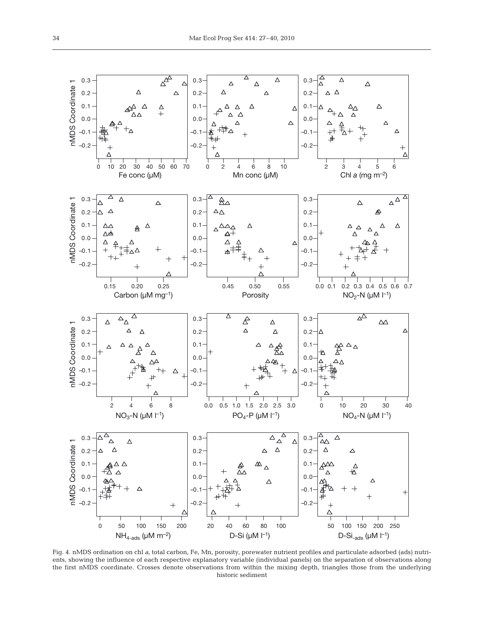

Fig. 4. nMDS ordination on chl *a*, total carbon, Fe, Mn, porosity, porewater nutrient profiles and particulate adsorbed (ads) nutrients, showing the influence of each respective explanatory variable (individual panels) on the separation of observations along the first nMDS coordinate. Crosses denote observations from within the mixing depth, triangles those from the underlying historic sediment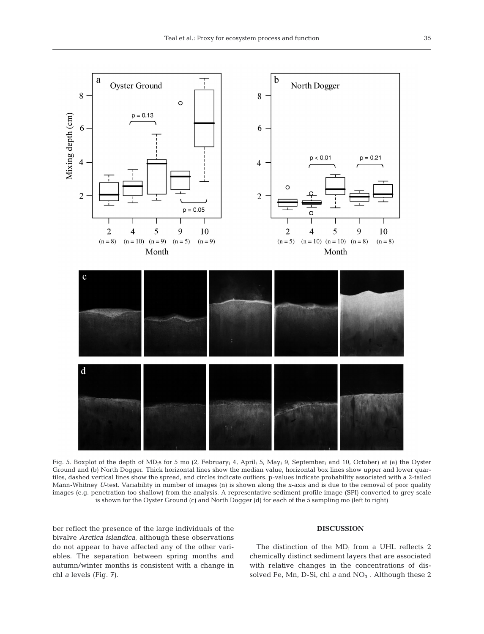

Fig. 5. Boxplot of the depth of MD<sub>I</sub>s for 5 mo (2, February; 4, April; 5, May; 9, September; and 10, October) at (a) the Oyster Ground and (b) North Dogger. Thick horizontal lines show the median value, horizontal box lines show upper and lower quartiles, dashed vertical lines show the spread, and circles indicate outliers. p-values indicate probability associated with a 2-tailed Mann-Whitney *U*-test. Variability in number of images (n) is shown along the *x*-axis and is due to the removal of poor quality images (e.g. penetration too shallow) from the analysis. A representative sediment profile image (SPI) converted to grey scale is shown for the Oyster Ground (c) and North Dogger (d) for each of the 5 sampling mo (left to right)

ber reflect the presence of the large individuals of the bivalve *Arctica islandica*, although these observations do not appear to have affected any of the other variables. The separation between spring months and autumn/winter months is consistent with a change in chl *a* levels (Fig. 7).

#### **DISCUSSION**

The distinction of the  $MD<sub>I</sub>$  from a UHL reflects 2 chemically distinct sediment layers that are associated with relative changes in the concentrations of dissolved Fe, Mn, D-Si, chl *a* and NO<sub>3</sub><sup>-</sup>. Although these 2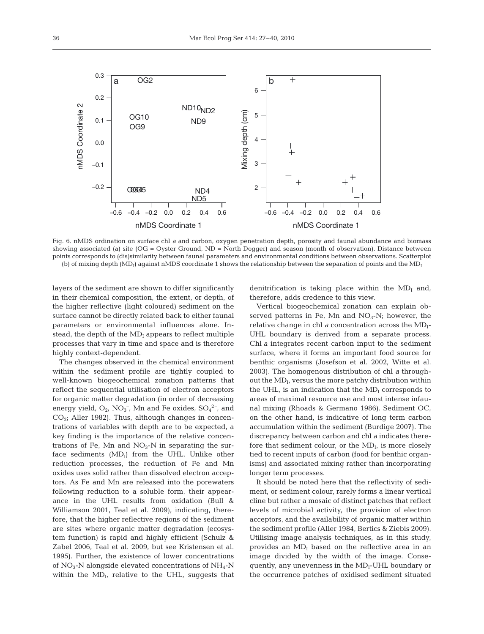

Fig. 6. nMDS ordination on surface chl *a* and carbon, oxygen penetration depth, porosity and faunal abundance and biomass showing associated (a) site (OG = Oyster Ground, ND = North Dogger) and season (month of observation). Distance between points corresponds to (dis)similarity between faunal parameters and environmental conditions between observations. Scatterplot (b) of mixing depth  $(MD<sub>1</sub>)$  against nMDS coordinate 1 shows the relationship between the separation of points and the MD<sub>I</sub>

layers of the sediment are shown to differ significantly in their chemical composition, the extent, or depth, of the higher reflective (light coloured) sediment on the surface cannot be directly related back to either faunal parameters or environmental influences alone. Instead, the depth of the  $MD<sub>I</sub>$  appears to reflect multiple processes that vary in time and space and is therefore highly context-dependent.

The changes observed in the chemical environment within the sediment profile are tightly coupled to well-known biogeochemical zonation patterns that reflect the sequential utilisation of electron acceptors for organic matter degradation (in order of decreasing energy yield,  $O_2$ ,  $NO_3^-$ , Mn and Fe oxides,  $SO_4^2$ <sup>-</sup>, and  $CO<sub>2</sub>$ ; Aller 1982). Thus, although changes in concentrations of variables with depth are to be expected, a key finding is the importance of the relative concentrations of Fe, Mn and  $NO<sub>3</sub>$ -N in separating the surface sediments  $(MD<sub>I</sub>)$  from the UHL. Unlike other reduction processes, the reduction of Fe and Mn oxides uses solid rather than dissolved electron acceptors. As Fe and Mn are released into the porewaters following reduction to a soluble form, their appearance in the UHL results from oxidation (Bull & Williamson 2001, Teal et al. 2009), indicating, therefore, that the higher reflective regions of the sediment are sites where organic matter degradation (ecosystem function) is rapid and highly efficient (Schulz & Zabel 2006, Teal et al. 2009, but see Kristensen et al. 1995). Further, the existence of lower concentrations of  $NO<sub>3</sub>-N$  alongside elevated concentrations of  $NH<sub>4</sub>-N$ within the  $MD_{I}$ , relative to the UHL, suggests that denitrification is taking place within the  $MD<sub>I</sub>$  and, therefore, adds credence to this view.

Vertical biogeochemical zonation can explain observed patterns in Fe, Mn and  $NO<sub>3</sub>-N$ ; however, the relative change in chl *a* concentration across the  $MD_{I}$ -UHL boundary is derived from a separate process. Chl *a* integrates recent carbon input to the sediment surface, where it forms an important food source for benthic organisms (Josefson et al. 2002, Witte et al. 2003). The homogenous distribution of chl *a* throughout the  $MD_{I}$ , versus the more patchy distribution within the UHL, is an indication that the  $MD<sub>I</sub>$  corresponds to areas of maximal resource use and most intense infaunal mixing (Rhoads & Germano 1986). Sediment OC, on the other hand, is indicative of long term carbon accumulation within the sediment (Burdige 2007). The discrepancy between carbon and chl *a* indicates therefore that sediment colour, or the  $MD_{I_i}$  is more closely tied to recent inputs of carbon (food for benthic organisms) and associated mixing rather than incorporating longer term processes.

It should be noted here that the reflectivity of sediment, or sediment colour, rarely forms a linear vertical cline but rather a mosaic of distinct patches that reflect levels of microbial activity, the provision of electron acceptors, and the availability of organic matter within the sediment profile (Aller 1984, Bertics & Ziebis 2009). Utilising image analysis techniques, as in this study, provides an  $MD<sub>I</sub>$  based on the reflective area in an image divided by the width of the image. Consequently, any unevenness in the  $MD_I$ -UHL boundary or the occurrence patches of oxidised sediment situated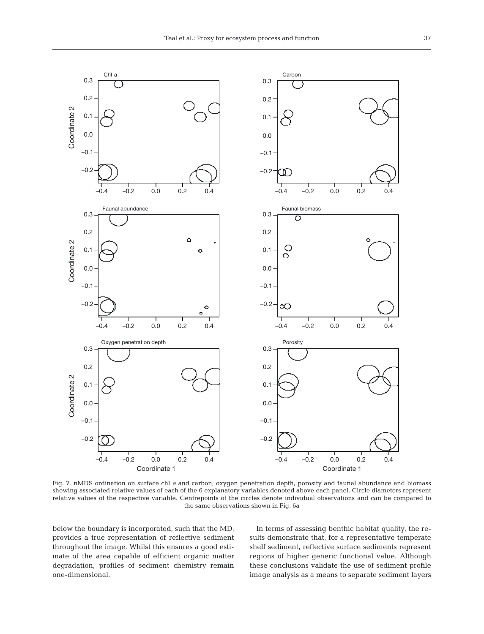![](_page_10_Figure_1.jpeg)

Fig. 7. nMDS ordination on surface chl *a* and carbon, oxygen penetration depth, porosity and faunal abundance and biomass showing associated relative values of each of the 6 explanatory variables denoted above each panel. Circle diameters represent relative values of the respective variable. Centrepoints of the circles denote individual observations and can be compared to the same observations shown in Fig. 6a

below the boundary is incorporated, such that the  $MD_I$ provides a true representation of reflective sediment throughout the image. Whilst this ensures a good estimate of the area capable of efficient organic matter degradation, profiles of sediment chemistry remain one-dimensional.

In terms of assessing benthic habitat quality, the results demonstrate that, for a representative temperate shelf sediment, reflective surface sediments represent regions of higher generic functional value. Although these conclusions validate the use of sediment profile image analysis as a means to separate sediment layers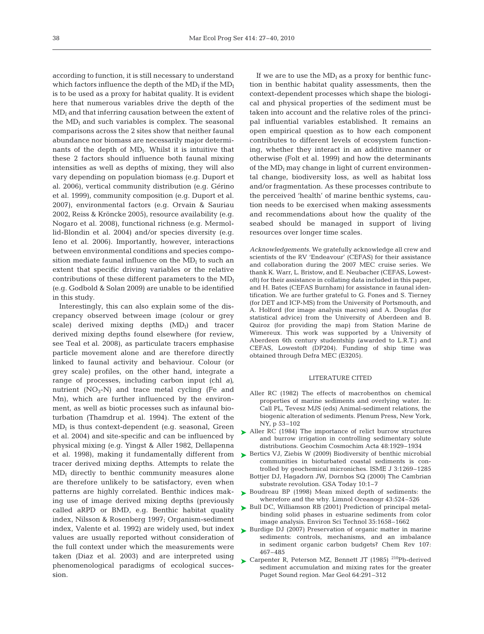according to function, it is still necessary to understand which factors influence the depth of the  $MD<sub>I</sub>$  if the  $MD<sub>I</sub>$ is to be used as a proxy for habitat quality. It is evident here that numerous variables drive the depth of the  $MD<sub>I</sub>$  and that inferring causation between the extent of the  $MD<sub>I</sub>$  and such variables is complex. The seasonal comparisons across the 2 sites show that neither faunal abundance nor biomass are necessarily major determinants of the depth of  $MD<sub>I</sub>$ . Whilst it is intuitive that these 2 factors should influence both faunal mixing intensities as well as depths of mixing, they will also vary depending on population biomass (e.g. Duport et al. 2006), vertical community distribution (e.g. Gérino et al. 1999), community composition (e.g. Duport et al. 2007), environmental factors (e.g. Orvain & Sauriau 2002, Reiss & Kröncke 2005), resource availability (e.g. Nogaro et al. 2008), functional richness (e.g. Mermollid-Blondin et al. 2004) and/or species diversity (e.g. Ieno et al. 2006). Importantly, however, interactions between environmental conditions and species composition mediate faunal influence on the  $MD<sub>I</sub>$  to such an extent that specific driving variables or the relative contributions of these different parameters to the  $MD<sub>I</sub>$ (e.g. Godbold & Solan 2009) are unable to be identified in this study.

Interestingly, this can also explain some of the discrepancy observed between image (colour or grey scale) derived mixing depths  $(MD<sub>I</sub>)$  and tracer derived mixing depths found elsewhere (for review, see Teal et al. 2008), as particulate tracers emphasise particle movement alone and are therefore directly linked to faunal activity and behaviour. Colour (or grey scale) profiles, on the other hand, integrate a range of processes, including carbon input (chl *a)*, nutrient  $(NO<sub>3</sub>-N)$  and trace metal cycling (Fe and Mn), which are further influenced by the environment, as well as biotic processes such as infaunal bioturbation (Thamdrup et al. 1994). The extent of the  $MD<sub>I</sub>$  is thus context-dependent (e.g. seasonal, Green et al. 2004) and site-specific and can be influenced by physical mixing (e.g. Yingst & Aller 1982, Dellapenna et al. 1998), making it fundamentally different from tracer derived mixing depths. Attempts to relate the  $MD<sub>I</sub>$  directly to benthic community measures alone are therefore unlikely to be satisfactory, even when patterns are highly correlated. Benthic indices making use of image derived mixing depths (previously called aRPD or BMD, e.g. Benthic habitat quality index, Nilsson & Rosenberg 1997; Organism-sediment index, Valente et al. 1992) are widely used, but index values are usually reported without consideration of the full context under which the measurements were taken (Diaz et al. 2003) and are interpreted using phenomenological paradigms of ecological succession.

If we are to use the  $MD<sub>I</sub>$  as a proxy for benthic function in benthic habitat quality assessments, then the context-dependent processes which shape the biological and physical properties of the sediment must be taken into account and the relative roles of the principal influential variables established. It remains an open empirical question as to how each component contributes to different levels of ecosystem functioning, whether they interact in an additive manner or otherwise (Folt et al. 1999) and how the determinants of the  $MD<sub>I</sub>$  may change in light of current environmental change, biodiversity loss, as well as habitat loss and/or fragmentation. As these processes contribute to the perceived 'health' of marine benthic systems, caution needs to be exercised when making assessments and recommendations about how the quality of the seabed should be managed in support of living resources over longer time scales.

*Acknowledgements.* We gratefully acknowledge all crew and scientists of the RV 'Endeavour' (CEFAS) for their assistance and collaboration during the 2007 MEC cruise series. We thank K. Warr, L. Bristow, and E. Neubacher (CEFAS, Lowestoft) for their assistance in collating data included in this paper, and H. Bates (CEFAS Burnham) for assistance in faunal identification. We are further grateful to G. Fones and S. Tierney (for DET and ICP-MS) from the University of Portsmouth, and A. Holford (for image analysis macros) and A. Douglas (for statistical advice) from the University of Aberdeen and B. Quiroz (for providing the map) from Station Marine de Wimereux. This work was supported by a University of Aberdeen 6th century studentship (awarded to L.R.T.) and CEFAS, Lowestoft (DP204). Funding of ship time was obtained through Defra MEC (E3205).

#### LITERATURE CITED

- Aller RC (1982) The effects of macrobenthos on chemical properties of marine sediments and overlying water. In: Call PL, Tevesz MJS (eds) Animal-sediment relations, the biogenic alteration of sediments. Plenum Press, New York, NY, p 53–102
- ► Aller RC (1984) The importance of relict burrow structures and burrow irrigation in controlling sedimentary solute distributions. Geochim Cosmochim Acta 48:1929–1934
- ▶ Bertics VJ, Ziebis W (2009) Biodiversity of benthic microbial communities in bioturbated coastal sediments is controlled by geochemical microniches. ISME J 3:1269–1285 Bottjer DJ, Hagadorn JW, Dornbos SQ (2000) The Cambrian
- substrate revolution. GSA Today 10:1–7 ▶ Boudreau BP (1998) Mean mixed depth of sediments: the wherefore and the why. Limnol Oceanogr 43:524–526
- ► Bull DC, Williamson RB (2001) Prediction of principal metalbinding solid phases in estuarine sediments from color image analysis. Environ Sci Technol 35:1658–1662
- ▶ Burdige DJ (2007) Preservation of organic matter in marine sediments: controls, mechanisms, and an imbalance in sediment organic carbon budgets? Chem Rev 107: 467–485
- ► Carpenter R, Peterson MZ, Bennett JT (1985)<sup>210</sup>Pb-derived sediment accumulation and mixing rates for the greater Puget Sound region. Mar Geol 64:291–312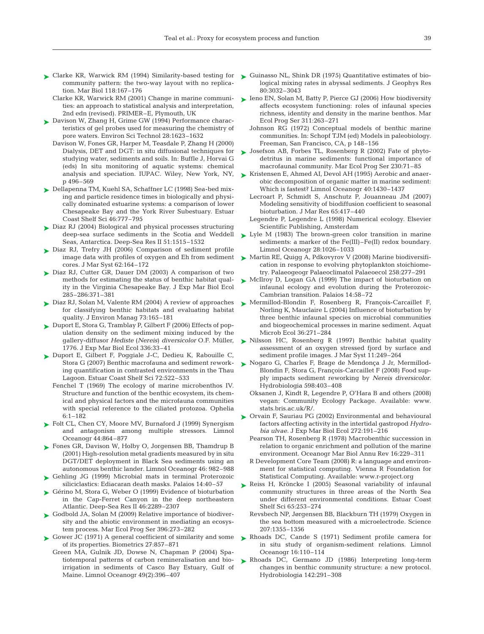- ► Clarke KR, Warwick RM (1994) Similarity-based testing for ► Guinasso NL, Shink DR (1975) Quantitative estimates of biocommunity pattern: the two-way layout with no replication. Mar Biol 118:167–176
	- Clarke KR, Warwick RM (2001) Change in marine communities: an approach to statistical analysis and interpretation, 2nd edn (revised). PRIMER–E, Plymouth, UK
- ► Davison W, Zhang H, Grime GW (1994) Performance characteristics of gel probes used for measuring the chemistry of pore waters. Environ Sci Technol 28:1623–1632
	- Davison W, Fones GR, Harper M, Teasdale P, Zhang H (2000) Dialysis, DET and DGT: in situ diffusional techniques for studying water, sediments and soils. In: Buffle J, Horvai G (eds) In situ monitoring of aquatic systems: chemical analysis and speciation. IUPAC. Wiley, New York, NY, p 496–569
- Dellapenna TM, Kuehl SA, Schaffner LC (1998) Sea-bed mix-➤ ing and particle residence times in biologically and physically dominated estuarine systems: a comparison of lower Chesapeake Bay and the York River Subestuary. Estuar Coast Shelf Sci 46:777–795
- ► Diaz RJ (2004) Biological and physical processes structuring deep-sea surface sediments in the Scotia and Weddell Seas, Antarctica. Deep-Sea Res II 51:1515–1532
- ► Diaz RJ, Trefry JH (2006) Comparison of sediment profile image data with profiles of oxygen and Eh from sediment cores. J Mar Syst 62:164–172
- ► Diaz RJ, Cutter GR, Dauer DM (2003) A comparison of two methods for estimating the status of benthic habitat quality in the Virginia Chesapeake Bay. J Exp Mar Biol Ecol 285–286:371–381
- Diaz RJ, Solan M, Valente RM (2004) A review of approaches ➤ for classifying benthic habitats and evaluating habitat quality. J Environ Manag 73:165–181
- ► Duport E, Stora G, Tramblay P, Gilbert F (2006) Effects of population density on the sediment mixing induced by the gallery-diffusor *Hediste* (*Nereis*) *diversicolor* O.F. Müller, 1776. J Exp Mar Biol Ecol 336:33–41
- ► Duport E, Gilbert F, Poggiale J-C, Dedieu K, Rabouille C, Stora G (2007) Benthic macrofauna and sediment reworking quantification in contrasted environments in the Thau Lagoon. Estuar Coast Shelf Sci 72:522–533
	- Fenchel T (1969) The ecology of marine microbenthos IV. Structure and function of the benthic ecosystem, its chemical and physical factors and the microfauna communities with special reference to the ciliated protozoa. Ophelia 6:1–182
- ► Folt CL, Chen CY, Moore MV, Burnaford J (1999) Synergism and antagonism among multiple stressors. Limnol Oceanogr 44:864–877
- ► Fones GR, Davison W, Holby O, Jorgensen BB, Thamdrup B (2001) High-resolution metal gradients measured by in situ DGT/DET deployment in Black Sea sediments using an autonomous benthic lander. Limnol Oceanogr 46: 982–988
- ► Gehling JG (1999) Microbial mats in terminal Proterozoic siliciclastics: Ediacaran death masks. Palaios 14:40–57
- ► Gérino M, Stora G, Weber O (1999) Evidence of bioturbation in the Cap-Ferret Canyon in the deep northeastern Atlantic. Deep-Sea Res II 46:2289–2307
- ► Godbold JA, Solan M (2009) Relative importance of biodiversity and the abiotic environment in mediating an ecosystem process. Mar Ecol Prog Ser 396:273–282
- ► Gower JC (1971) A general coefficient of similarity and some of its properties. Biometrics 27:857–871
	- Green MA, Gulnik JD, Dowse N, Chapman P (2004) Spatiotemporal patterns of carbon remineralisation and bioirrigation in sediments of Casco Bay Estuary, Gulf of Maine. Limnol Oceanogr 49(2):396–407
- logical mixing rates in abyssal sediments. J Geophys Res 80:3032–3043
- ► Ieno EN, Solan M, Batty P, Pierce GJ (2006) How biodiversity affects ecosystem functioning: roles of infaunal species richness, identity and density in the marine benthos. Mar Ecol Prog Ser 311:263–271
	- Johnson RG (1972) Conceptual models of benthic marine communities. In: Schopf TJM (ed) Models in paleobiology. Freeman, San Francisco, CA, p 148–156
- ► Josefson AB, Forbes TL, Rosenberg R (2002) Fate of phytodetritus in marine sediments: functional importance of macrofaunal community. Mar Ecol Prog Ser 230:71–85
- ► Kristensen E, Ahmed AI, Devol AH (1995) Aerobic and anaerobic decomposition of organic matter in marine sediment: Which is fastest? Limnol Oceanogr 40:1430–1437
	- Lecroart P, Schmidt S, Anschutz P, Jouanneau JM (2007) Modeling sensitivity of biodiffusion coefficient to seasonal bioturbation. J Mar Res 65:417–440
	- Legendre P, Legendre L (1998) Numerical ecology. Elsevier Scientific Publishing, Amsterdam
- $\blacktriangleright$  Lyle M (1983) The brown-green color transition in marine sediments: a marker of the Fe(III)–Fe(II) redox boundary. Limnol Oceanogr 28:1026–1033
- ► Martin RE, Quigg A, Pdkovyrov V (2008) Marine biodiversifi cation in response to evolving phytoplankton stoichiometry. Palaeogeogr Palaeoclimatol Palaeoecol 258:277–291
- ▶ McIlroy D, Logan GA (1999) The impact of bioturbation on infaunal ecology and evolution during the Proterozoic-Cambrian transition. Palaios 14:58–72
- ► Mermillod-Blondin F, Rosenberg R, François-Carcaillet F, Norling K, Mauclaire L (2004) Influence of bioturbation by three benthic infaunal species on microbial communities and biogeochemical processes in marine sediment. Aquat Microb Ecol 36:271–284
- ▶ Nilsson HC, Rosenberg R (1997) Benthic habitat quality assessment of an oxygen stressed fjord by surface and sediment profile images. J Mar Syst 11:249–264
- ► Nogaro G, Charles F, Brage de Mendonça J Jr, Mermillod-Blondin F, Stora G, François-Carcaillet F (2008) Food supply impacts sediment reworking by *Nereis diversicolor.* Hydrobiologia 598:403–408
	- Oksanen J, Kindt R, Legendre P, O'Hara B and others (2008) vegan: Community Ecology Package. Available: www. stats.bris.ac.uk/R/.
- ▶ Orvain F, Sauriau PG (2002) Environmental and behavioural factors affecting activity in the intertidal gastropod *Hydrobia ulvae.* J Exp Mar Biol Ecol 272:191–216
	- Pearson TH, Rosenberg R (1978) Macrobenthic succession in relation to organic enrichment and pollution of the marine environment. Oceanogr Mar Biol Annu Rev 16:229–311
	- R Development Core Team (2008) R: a language and environment for statistical computing. Vienna R Foundation for Statistical Computing. Available: www.r-project.org
- ▶ Reiss H, Kröncke I (2005) Seasonal variability of infaunal community structures in three areas of the North Sea under different environmental conditions. Estuar Coast Shelf Sci 65:253–274
	- Revsbech NP, Jørgensen BB, Blackburn TH (1979) Oxygen in the sea bottom measured with a microelectrode. Science 207:1355–1356
- ▶ Rhoads DC, Cande S (1971) Sediment profile camera for in situ study of organism-sediment relations. Limnol Oceanogr 16:110–114
- ▶ Rhoads DC, Germano JD (1986) Interpreting long-term changes in benthic community structure: a new protocol. Hydrobiologia 142:291–308